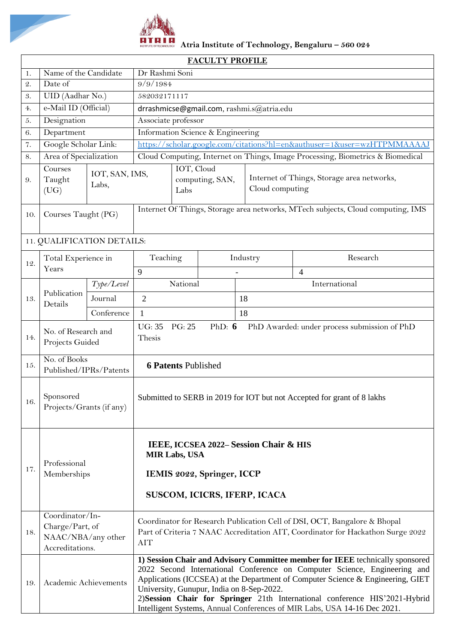

**Atria Institute of Technology, Bengaluru – 560 024**

| <b>FACULTY PROFILE</b> |                                                                             |                                                                                                                             |                                                                                                                                                                                                                                                                                                                                                                                                                                                       |   |                                                               |          |                                                                                |  |  |
|------------------------|-----------------------------------------------------------------------------|-----------------------------------------------------------------------------------------------------------------------------|-------------------------------------------------------------------------------------------------------------------------------------------------------------------------------------------------------------------------------------------------------------------------------------------------------------------------------------------------------------------------------------------------------------------------------------------------------|---|---------------------------------------------------------------|----------|--------------------------------------------------------------------------------|--|--|
| 1.                     | Name of the Candidate                                                       |                                                                                                                             | Dr Rashmi Soni                                                                                                                                                                                                                                                                                                                                                                                                                                        |   |                                                               |          |                                                                                |  |  |
| $\mathfrak{2}.$        | Date of                                                                     |                                                                                                                             | 9/9/1984                                                                                                                                                                                                                                                                                                                                                                                                                                              |   |                                                               |          |                                                                                |  |  |
| 3.                     | UID (Aadhar No.)                                                            |                                                                                                                             | 582032171117                                                                                                                                                                                                                                                                                                                                                                                                                                          |   |                                                               |          |                                                                                |  |  |
| 4.                     | e-Mail ID (Official)                                                        |                                                                                                                             | drrashmicse@gmail.com, rashmi.s@atria.edu                                                                                                                                                                                                                                                                                                                                                                                                             |   |                                                               |          |                                                                                |  |  |
| 5.                     | Designation                                                                 |                                                                                                                             | Associate professor                                                                                                                                                                                                                                                                                                                                                                                                                                   |   |                                                               |          |                                                                                |  |  |
| 6.                     | Department                                                                  |                                                                                                                             | Information Science & Engineering                                                                                                                                                                                                                                                                                                                                                                                                                     |   |                                                               |          |                                                                                |  |  |
| 7.                     | Google Scholar Link:                                                        |                                                                                                                             | https://scholar.google.com/citations?hl=en&authuser=1&user=wzHTPMMAAAAJ                                                                                                                                                                                                                                                                                                                                                                               |   |                                                               |          |                                                                                |  |  |
| 8.                     | Area of Specialization                                                      |                                                                                                                             |                                                                                                                                                                                                                                                                                                                                                                                                                                                       |   |                                                               |          | Cloud Computing, Internet on Things, Image Processing, Biometrics & Biomedical |  |  |
| 9.                     | Courses<br>IOT, SAN, IMS,<br>Taught<br>Labs,<br>(UG)                        |                                                                                                                             | IOT, Cloud<br>computing, SAN,<br>Labs                                                                                                                                                                                                                                                                                                                                                                                                                 |   | Internet of Things, Storage area networks,<br>Cloud computing |          |                                                                                |  |  |
| 10.                    | Courses Taught (PG)                                                         |                                                                                                                             | Internet Of Things, Storage area networks, MTech subjects, Cloud computing, IMS                                                                                                                                                                                                                                                                                                                                                                       |   |                                                               |          |                                                                                |  |  |
|                        | 11. QUALIFICATION DETAILS:                                                  |                                                                                                                             |                                                                                                                                                                                                                                                                                                                                                                                                                                                       |   |                                                               |          |                                                                                |  |  |
| 12.                    | Total Experience in                                                         |                                                                                                                             | Teaching                                                                                                                                                                                                                                                                                                                                                                                                                                              |   |                                                               | Industry | Research                                                                       |  |  |
|                        | Years                                                                       |                                                                                                                             |                                                                                                                                                                                                                                                                                                                                                                                                                                                       | 9 |                                                               |          | $\overline{4}$                                                                 |  |  |
|                        |                                                                             | Type/Level                                                                                                                  | National                                                                                                                                                                                                                                                                                                                                                                                                                                              |   |                                                               |          | International                                                                  |  |  |
| 13.                    | Publication<br>Details                                                      | Journal                                                                                                                     | $\overline{2}$                                                                                                                                                                                                                                                                                                                                                                                                                                        |   |                                                               | 18       |                                                                                |  |  |
|                        |                                                                             | Conference                                                                                                                  | $\mathbf{1}$                                                                                                                                                                                                                                                                                                                                                                                                                                          |   |                                                               | 18       |                                                                                |  |  |
| 14.                    | No. of Research and<br>Projects Guided                                      |                                                                                                                             | <b>UG: 35</b><br>PG: 25<br>PhD: $6$<br>PhD Awarded: under process submission of PhD<br>Thesis                                                                                                                                                                                                                                                                                                                                                         |   |                                                               |          |                                                                                |  |  |
| 15.                    | No. of Books<br>Published/IPRs/Patents                                      |                                                                                                                             | <b>6 Patents Published</b>                                                                                                                                                                                                                                                                                                                                                                                                                            |   |                                                               |          |                                                                                |  |  |
| 16.                    | Sponsored<br>Projects/Grants (if any)                                       |                                                                                                                             | Submitted to SERB in 2019 for IOT but not Accepted for grant of 8 lakhs                                                                                                                                                                                                                                                                                                                                                                               |   |                                                               |          |                                                                                |  |  |
| 17.                    | Professional<br>Memberships                                                 | IEEE, ICCSEA 2022-Session Chair & HIS<br><b>MIR Labs, USA</b><br>IEMIS 2022, Springer, ICCP<br>SUSCOM, ICICRS, IFERP, ICACA |                                                                                                                                                                                                                                                                                                                                                                                                                                                       |   |                                                               |          |                                                                                |  |  |
| 18.                    | Coordinator/In-<br>Charge/Part, of<br>NAAC/NBA/any other<br>Accreditations. |                                                                                                                             | Coordinator for Research Publication Cell of DSI, OCT, Bangalore & Bhopal<br>Part of Criteria 7 NAAC Accreditation AIT, Coordinator for Hackathon Surge 2022<br><b>AIT</b>                                                                                                                                                                                                                                                                            |   |                                                               |          |                                                                                |  |  |
| 19.                    | Academic Achievements                                                       |                                                                                                                             | 1) Session Chair and Advisory Committee member for IEEE technically sponsored<br>2022 Second International Conference on Computer Science, Engineering and<br>Applications (ICCSEA) at the Department of Computer Science & Engineering, GIET<br>University, Gunupur, India on 8-Sep-2022.<br>2) Session Chair for Springer 21th International conference HIS'2021-Hybrid<br>Intelligent Systems, Annual Conferences of MIR Labs, USA 14-16 Dec 2021. |   |                                                               |          |                                                                                |  |  |